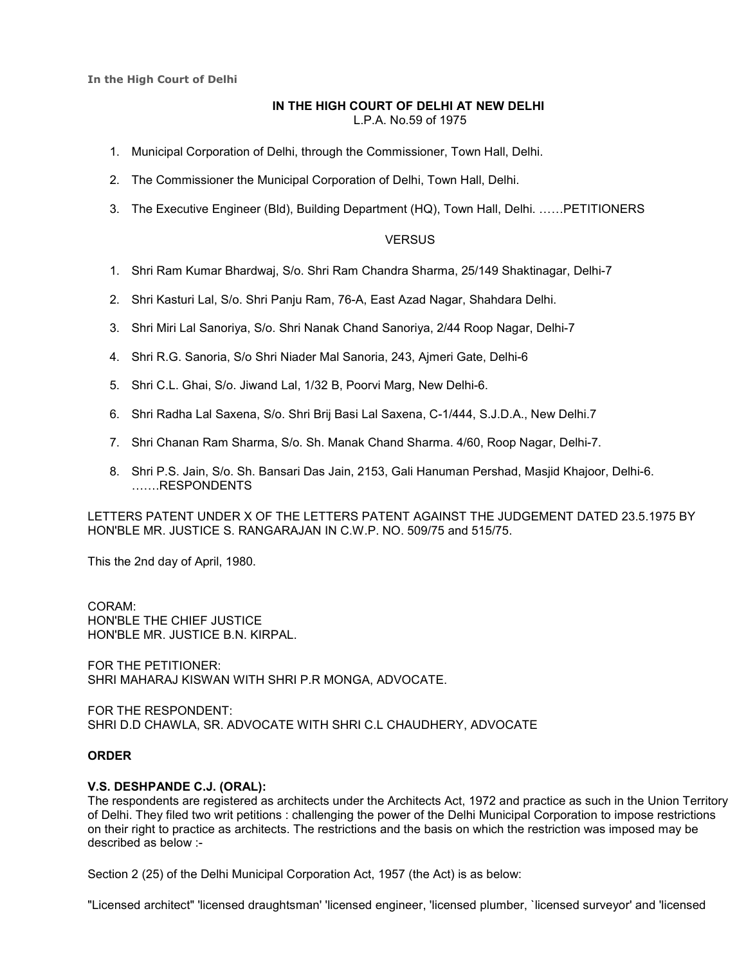**In the High Court of Delhi**

### **IN THE HIGH COURT OF DELHI AT NEW DELHI**  L.P.A. No.59 of 1975

- 1. Municipal Corporation of Delhi, through the Commissioner, Town Hall, Delhi.
- 2. The Commissioner the Municipal Corporation of Delhi, Town Hall, Delhi.
- 3. The Executive Engineer (Bld), Building Department (HQ), Town Hall, Delhi. ......PETITIONERS

## **VERSUS**

- 1. Shri Ram Kumar Bhardwaj, S/o. Shri Ram Chandra Sharma, 25/149 Shaktinagar, Delhi-7
- 2. Shri Kasturi Lal, S/o. Shri Panju Ram, 76-A, East Azad Nagar, Shahdara Delhi.
- 3. Shri Miri Lal Sanoriya, S/o. Shri Nanak Chand Sanoriya, 2/44 Roop Nagar, Delhi-7
- 4. Shri R.G. Sanoria, S/o Shri Niader Mal Sanoria, 243, Ajmeri Gate, Delhi-6
- 5. Shri C.L. Ghai, S/o. Jiwand Lal, 1/32 B, Poorvi Marg, New Delhi-6.
- 6. Shri Radha Lal Saxena, S/o. Shri Brij Basi Lal Saxena, C-1/444, S.J.D.A., New Delhi.7
- 7. Shri Chanan Ram Sharma, S/o. Sh. Manak Chand Sharma. 4/60, Roop Nagar, Delhi-7.
- 8. Shri P.S. Jain, S/o. Sh. Bansari Das Jain, 2153, Gali Hanuman Pershad, Masjid Khajoor, Delhi-6. ,,.RESPONDENTS

LETTERS PATENT UNDER X OF THE LETTERS PATENT AGAINST THE JUDGEMENT DATED 23.5.1975 BY HON'BLE MR. JUSTICE S. RANGARAJAN IN C.W.P. NO. 509/75 and 515/75.

This the 2nd day of April, 1980.

### CORAM: HON'BLE THE CHIEF JUSTICE HON'BLE MR. JUSTICE B.N. KIRPAL.

FOR THE PETITIONER: SHRI MAHARAJ KISWAN WITH SHRI P.R MONGA, ADVOCATE.

FOR THE RESPONDENT: SHRI D.D CHAWLA, SR. ADVOCATE WITH SHRI C.L CHAUDHERY, ADVOCATE

## **ORDER**

### **V.S. DESHPANDE C.J. (ORAL):**

The respondents are registered as architects under the Architects Act, 1972 and practice as such in the Union Territory of Delhi. They filed two writ petitions : challenging the power of the Delhi Municipal Corporation to impose restrictions on their right to practice as architects. The restrictions and the basis on which the restriction was imposed may be described as below :-

Section 2 (25) of the Delhi Municipal Corporation Act, 1957 (the Act) is as below:

"Licensed architect" 'licensed draughtsman' 'licensed engineer, 'licensed plumber, `licensed surveyor' and 'licensed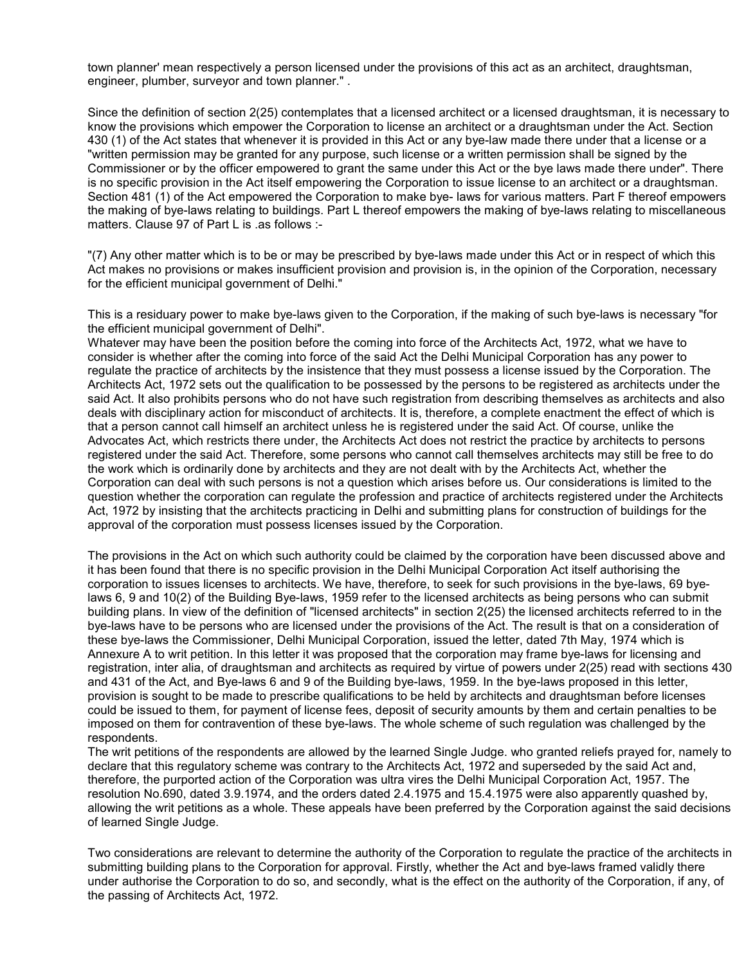town planner' mean respectively a person licensed under the provisions of this act as an architect, draughtsman, engineer, plumber, surveyor and town planner." .

Since the definition of section 2(25) contemplates that a licensed architect or a licensed draughtsman, it is necessary to know the provisions which empower the Corporation to license an architect or a draughtsman under the Act. Section 430 (1) of the Act states that whenever it is provided in this Act or any bye-law made there under that a license or a "written permission may be granted for any purpose, such license or a written permission shall be signed by the Commissioner or by the officer empowered to grant the same under this Act or the bye laws made there under". There is no specific provision in the Act itself empowering the Corporation to issue license to an architect or a draughtsman. Section 481 (1) of the Act empowered the Corporation to make bye- laws for various matters. Part F thereof empowers the making of bye-laws relating to buildings. Part L thereof empowers the making of bye-laws relating to miscellaneous matters. Clause 97 of Part L is .as follows :-

"(7) Any other matter which is to be or may be prescribed by bye-laws made under this Act or in respect of which this Act makes no provisions or makes insufficient provision and provision is, in the opinion of the Corporation, necessary for the efficient municipal government of Delhi."

This is a residuary power to make bye-laws given to the Corporation, if the making of such bye-laws is necessary "for the efficient municipal government of Delhi".

Whatever may have been the position before the coming into force of the Architects Act, 1972, what we have to consider is whether after the coming into force of the said Act the Delhi Municipal Corporation has any power to regulate the practice of architects by the insistence that they must possess a license issued by the Corporation. The Architects Act, 1972 sets out the qualification to be possessed by the persons to be registered as architects under the said Act. It also prohibits persons who do not have such registration from describing themselves as architects and also deals with disciplinary action for misconduct of architects. It is, therefore, a complete enactment the effect of which is that a person cannot call himself an architect unless he is registered under the said Act. Of course, unlike the Advocates Act, which restricts there under, the Architects Act does not restrict the practice by architects to persons registered under the said Act. Therefore, some persons who cannot call themselves architects may still be free to do the work which is ordinarily done by architects and they are not dealt with by the Architects Act, whether the Corporation can deal with such persons is not a question which arises before us. Our considerations is limited to the question whether the corporation can regulate the profession and practice of architects registered under the Architects Act, 1972 by insisting that the architects practicing in Delhi and submitting plans for construction of buildings for the approval of the corporation must possess licenses issued by the Corporation.

The provisions in the Act on which such authority could be claimed by the corporation have been discussed above and it has been found that there is no specific provision in the Delhi Municipal Corporation Act itself authorising the corporation to issues licenses to architects. We have, therefore, to seek for such provisions in the bye-laws, 69 byelaws 6, 9 and 10(2) of the Building Bye-laws, 1959 refer to the licensed architects as being persons who can submit building plans. In view of the definition of "licensed architects" in section 2(25) the licensed architects referred to in the bye-laws have to be persons who are licensed under the provisions of the Act. The result is that on a consideration of these bye-laws the Commissioner, Delhi Municipal Corporation, issued the letter, dated 7th May, 1974 which is Annexure A to writ petition. In this letter it was proposed that the corporation may frame bye-laws for licensing and registration, inter alia, of draughtsman and architects as required by virtue of powers under 2(25) read with sections 430 and 431 of the Act, and Bye-laws 6 and 9 of the Building bye-laws, 1959. In the bye-laws proposed in this letter, provision is sought to be made to prescribe qualifications to be held by architects and draughtsman before licenses could be issued to them, for payment of license fees, deposit of security amounts by them and certain penalties to be imposed on them for contravention of these bye-laws. The whole scheme of such regulation was challenged by the respondents.

The writ petitions of the respondents are allowed by the learned Single Judge. who granted reliefs prayed for, namely to declare that this regulatory scheme was contrary to the Architects Act, 1972 and superseded by the said Act and, therefore, the purported action of the Corporation was ultra vires the Delhi Municipal Corporation Act, 1957. The resolution No.690, dated 3.9.1974, and the orders dated 2.4.1975 and 15.4.1975 were also apparently quashed by, allowing the writ petitions as a whole. These appeals have been preferred by the Corporation against the said decisions of learned Single Judge.

Two considerations are relevant to determine the authority of the Corporation to regulate the practice of the architects in submitting building plans to the Corporation for approval. Firstly, whether the Act and bye-laws framed validly there under authorise the Corporation to do so, and secondly, what is the effect on the authority of the Corporation, if any, of the passing of Architects Act, 1972.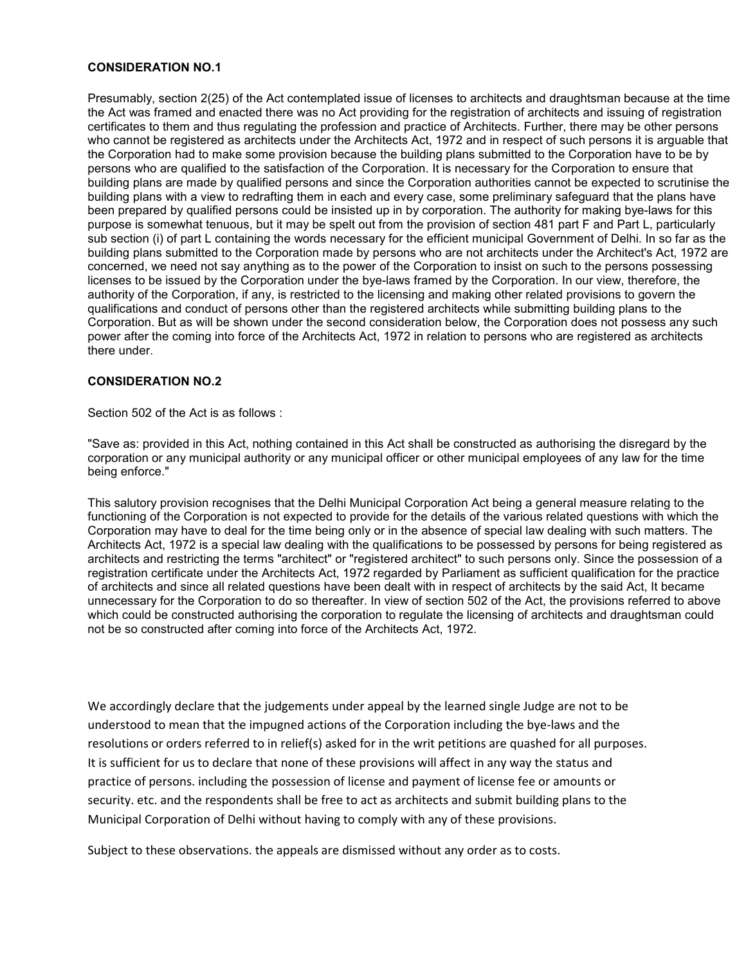# **CONSIDERATION NO.1**

Presumably, section 2(25) of the Act contemplated issue of licenses to architects and draughtsman because at the time the Act was framed and enacted there was no Act providing for the registration of architects and issuing of registration certificates to them and thus regulating the profession and practice of Architects. Further, there may be other persons who cannot be registered as architects under the Architects Act, 1972 and in respect of such persons it is arguable that the Corporation had to make some provision because the building plans submitted to the Corporation have to be by persons who are qualified to the satisfaction of the Corporation. It is necessary for the Corporation to ensure that building plans are made by qualified persons and since the Corporation authorities cannot be expected to scrutinise the building plans with a view to redrafting them in each and every case, some preliminary safeguard that the plans have been prepared by qualified persons could be insisted up in by corporation. The authority for making bye-laws for this purpose is somewhat tenuous, but it may be spelt out from the provision of section 481 part F and Part L, particularly sub section (i) of part L containing the words necessary for the efficient municipal Government of Delhi. In so far as the building plans submitted to the Corporation made by persons who are not architects under the Architect's Act, 1972 are concerned, we need not say anything as to the power of the Corporation to insist on such to the persons possessing licenses to be issued by the Corporation under the bye-laws framed by the Corporation. In our view, therefore, the authority of the Corporation, if any, is restricted to the licensing and making other related provisions to govern the qualifications and conduct of persons other than the registered architects while submitting building plans to the Corporation. But as will be shown under the second consideration below, the Corporation does not possess any such power after the coming into force of the Architects Act, 1972 in relation to persons who are registered as architects there under.

# **CONSIDERATION NO.2**

Section 502 of the Act is as follows :

"Save as: provided in this Act, nothing contained in this Act shall be constructed as authorising the disregard by the corporation or any municipal authority or any municipal officer or other municipal employees of any law for the time being enforce."

This salutory provision recognises that the Delhi Municipal Corporation Act being a general measure relating to the functioning of the Corporation is not expected to provide for the details of the various related questions with which the Corporation may have to deal for the time being only or in the absence of special law dealing with such matters. The Architects Act, 1972 is a special law dealing with the qualifications to be possessed by persons for being registered as architects and restricting the terms "architect" or "registered architect" to such persons only. Since the possession of a registration certificate under the Architects Act, 1972 regarded by Parliament as sufficient qualification for the practice of architects and since all related questions have been dealt with in respect of architects by the said Act, It became unnecessary for the Corporation to do so thereafter. In view of section 502 of the Act, the provisions referred to above which could be constructed authorising the corporation to regulate the licensing of architects and draughtsman could not be so constructed after coming into force of the Architects Act, 1972.

We accordingly declare that the judgements under appeal by the learned single Judge are not to be understood to mean that the impugned actions of the Corporation including the bye-laws and the resolutions or orders referred to in relief(s) asked for in the writ petitions are quashed for all purposes. It is sufficient for us to declare that none of these provisions will affect in any way the status and practice of persons. including the possession of license and payment of license fee or amounts or security. etc. and the respondents shall be free to act as architects and submit building plans to the Municipal Corporation of Delhi without having to comply with any of these provisions.

Subject to these observations. the appeals are dismissed without any order as to costs.